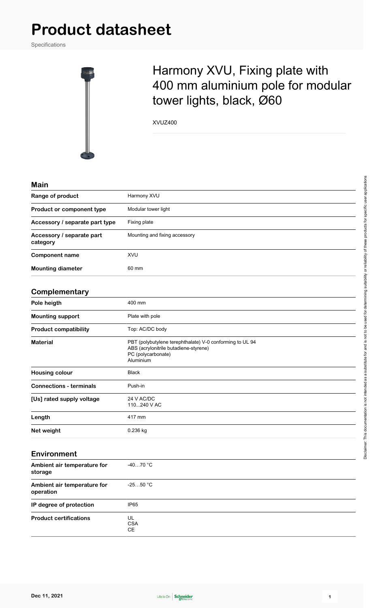Specifications



## Harmony XVU, Fixing plate with 400 mm aluminium pole for modular tower lights, black, Ø60

XVUZ400

| Main                                     |                                                                                                                                      |  |
|------------------------------------------|--------------------------------------------------------------------------------------------------------------------------------------|--|
| Range of product                         | Harmony XVU                                                                                                                          |  |
| Product or component type                | Modular tower light                                                                                                                  |  |
| Accessory / separate part type           | Fixing plate                                                                                                                         |  |
| Accessory / separate part<br>category    | Mounting and fixing accessory                                                                                                        |  |
| <b>Component name</b>                    | XVU                                                                                                                                  |  |
| <b>Mounting diameter</b>                 | 60 mm                                                                                                                                |  |
| Complementary                            |                                                                                                                                      |  |
| Pole heigth                              | 400 mm                                                                                                                               |  |
| <b>Mounting support</b>                  | Plate with pole                                                                                                                      |  |
| <b>Product compatibility</b>             | Top: AC/DC body                                                                                                                      |  |
| <b>Material</b>                          | PBT (polybutylene terephthalate) V-0 conforming to UL 94<br>ABS (acrylonitrile butadiene-styrene)<br>PC (polycarbonate)<br>Aluminium |  |
| <b>Housing colour</b>                    | <b>Black</b>                                                                                                                         |  |
| <b>Connections - terminals</b>           | Push-in                                                                                                                              |  |
| [Us] rated supply voltage                | 24 V AC/DC<br>110240 V AC                                                                                                            |  |
| Length                                   | 417 mm                                                                                                                               |  |
| Net weight                               | 0.236 kg                                                                                                                             |  |
| <b>Environment</b>                       |                                                                                                                                      |  |
| Ambient air temperature for<br>storage   | $-4070$ °C                                                                                                                           |  |
| Ambient air temperature for<br>operation | $-2550 °C$                                                                                                                           |  |
| IP degree of protection                  | IP65                                                                                                                                 |  |
| <b>Product certifications</b>            | UL<br><b>CSA</b><br>CE                                                                                                               |  |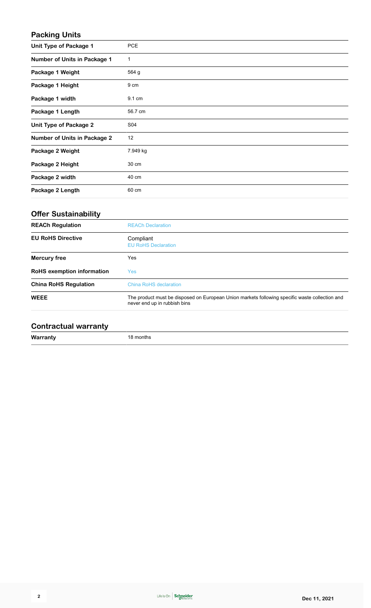#### **Packing Units**

| <b>Unit Type of Package 1</b>       | <b>PCE</b> |
|-------------------------------------|------------|
| <b>Number of Units in Package 1</b> | 1          |
| Package 1 Weight                    | 564 g      |
| Package 1 Height                    | 9 cm       |
| Package 1 width                     | 9.1 cm     |
| Package 1 Length                    | 56.7 cm    |
| <b>Unit Type of Package 2</b>       | S04        |
| <b>Number of Units in Package 2</b> | 12         |
| Package 2 Weight                    | 7.949 kg   |
| Package 2 Height                    | 30 cm      |
| Package 2 width                     | 40 cm      |
| Package 2 Length                    | 60 cm      |

## **Offer Sustainability**

| <b>REACh Regulation</b>           | <b>REACh Declaration</b>                                                                                                       |  |
|-----------------------------------|--------------------------------------------------------------------------------------------------------------------------------|--|
| <b>EU RoHS Directive</b>          | Compliant<br><b>EU RoHS Declaration</b>                                                                                        |  |
| <b>Mercury free</b>               | Yes                                                                                                                            |  |
| <b>RoHS</b> exemption information | <b>Yes</b>                                                                                                                     |  |
| <b>China RoHS Regulation</b>      | China RoHS declaration                                                                                                         |  |
| <b>WEEE</b>                       | The product must be disposed on European Union markets following specific waste collection and<br>never end up in rubbish bins |  |

### **Contractual warranty**

**Warranty** 18 months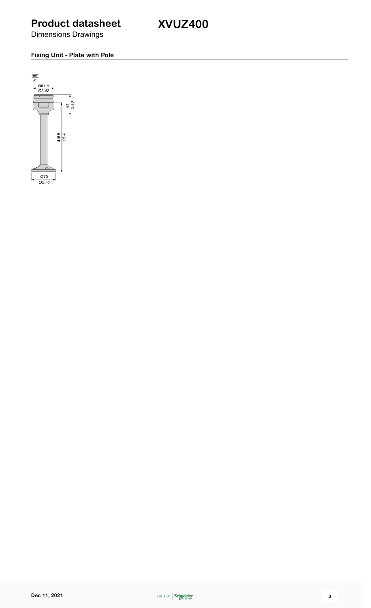**XVUZ400**

Dimensions Drawings

#### **Fixing Unit - Plate with Pole**

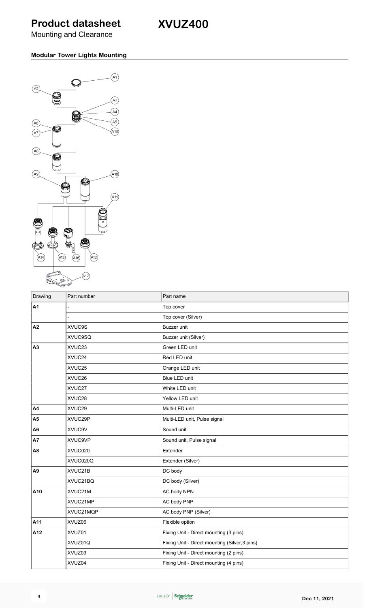**XVUZ400**

Mounting and Clearance

#### **Modular Tower Lights Mounting**



| Drawing        | Part number    | Part name                                      |
|----------------|----------------|------------------------------------------------|
| A1             |                | Top cover                                      |
|                |                | Top cover (Silver)                             |
| A2             | XVUC9S         | Buzzer unit                                    |
|                | <b>XVUC9SQ</b> | Buzzer unit (Silver)                           |
| A <sub>3</sub> | XVUC23         | Green LED unit                                 |
|                | XVUC24         | Red LED unit                                   |
|                | XVUC25         | Orange LED unit                                |
|                | XVUC26         | Blue LED unit                                  |
|                | XVUC27         | White LED unit                                 |
|                | XVUC28         | Yellow LED unit                                |
| A4             | XVUC29         | Multi-LED unit                                 |
| A <sub>5</sub> | XVUC29P        | Multi-LED unit, Pulse signal                   |
| A6             | XVUC9V         | Sound unit                                     |
| A7             | XVUC9VP        | Sound unit, Pulse signal                       |
| A <sub>8</sub> | XVUC020        | Extender                                       |
|                | XVUC020Q       | Extender (Silver)                              |
| A <sub>9</sub> | XVUC21B        | DC body                                        |
|                | XVUC21BQ       | DC body (Silver)                               |
| A10            | XVUC21M        | AC body NPN                                    |
|                | XVUC21MP       | AC body PNP                                    |
|                | XVUC21MQP      | AC body PNP (Silver)                           |
| A11            | XVUZ06         | Flexible option                                |
| A12            | XVUZ01         | Fixing Unit - Direct mounting (3 pins)         |
|                | XVUZ01Q        | Fixing Unit - Direct mounting (Silver, 3 pins) |
|                | XVUZ03         | Fixing Unit - Direct mounting (2 pins)         |
|                | XVUZ04         | Fixing Unit - Direct mounting (4 pins)         |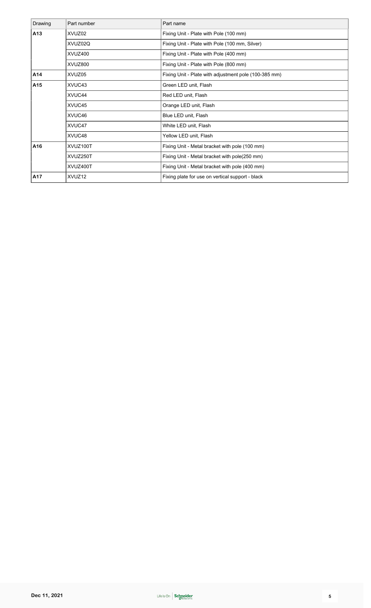| Drawing | Part number | Part name                                             |
|---------|-------------|-------------------------------------------------------|
| A13     | XVUZ02      | Fixing Unit - Plate with Pole (100 mm)                |
|         | XVUZ02Q     | Fixing Unit - Plate with Pole (100 mm, Silver)        |
|         | XVUZ400     | Fixing Unit - Plate with Pole (400 mm)                |
|         | XVUZ800     | Fixing Unit - Plate with Pole (800 mm)                |
| A14     | XVUZ05      | Fixing Unit - Plate with adjustment pole (100-385 mm) |
| A15     | XVUC43      | Green LED unit, Flash                                 |
|         | XVUC44      | Red LED unit, Flash                                   |
|         | XVUC45      | Orange LED unit, Flash                                |
|         | XVUC46      | Blue LED unit, Flash                                  |
|         | XVUC47      | White LED unit, Flash                                 |
|         | XVUC48      | Yellow LED unit, Flash                                |
| A16     | XVUZ100T    | Fixing Unit - Metal bracket with pole (100 mm)        |
|         | XVUZ250T    | Fixing Unit - Metal bracket with pole(250 mm)         |
|         | XVUZ400T    | Fixing Unit - Metal bracket with pole (400 mm)        |
| A17     | XVUZ12      | Fixing plate for use on vertical support - black      |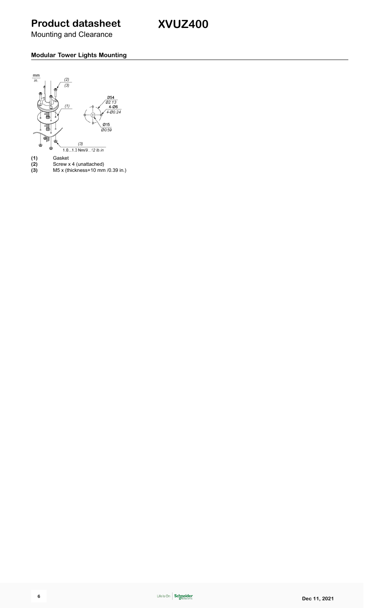**XVUZ400**

Mounting and Clearance

#### **Modular Tower Lights Mounting**